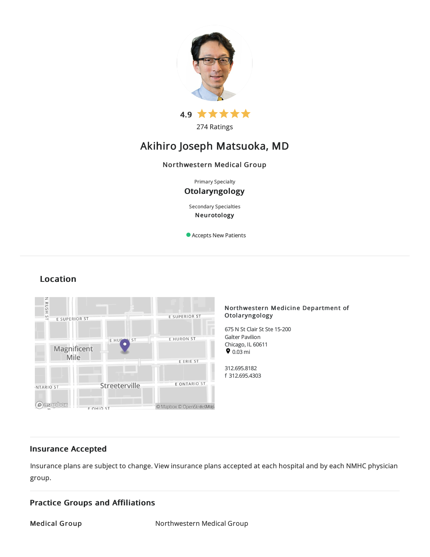

274 Ratings

# Akihiro Joseph Matsuoka, MD

# Northwestern Medical Group

Primary Specialty

# Otolaryngology

Secondary Specialties Neurotology

Accepts New Patients



# Location

# Northwestern Medicine Department of Otolaryngology

675 N St Clair St Ste 15-200 Galter Pavilion Chicago, IL 60611  $\bullet$  0.03 mi

312.695.8182 f 312.695.4303

# Insurance Accepted

Insurance plans are subject to change. View [insurance](https://www.nm.org/patients-and-visitors/billing-and-insurance/insurance-information/accepted-insurance-plans) plans accepted at each hospital and by each NMHC physician group.

# Practice Groups and Affiliations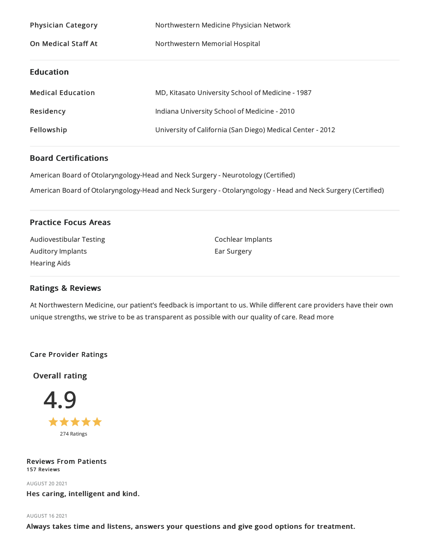| <b>Physician Category</b>  | Northwestern Medicine Physician Network                    |
|----------------------------|------------------------------------------------------------|
| <b>On Medical Staff At</b> | Northwestern Memorial Hospital                             |
|                            |                                                            |
| <b>Education</b>           |                                                            |
| <b>Medical Education</b>   | MD, Kitasato University School of Medicine - 1987          |
| Residency                  | Indiana University School of Medicine - 2010               |
| Fellowship                 | University of California (San Diego) Medical Center - 2012 |

# Board Certifications

American Board of Otolaryngology-Head and Neck Surgery - Neurotology (Certified)

American Board of Otolaryngology-Head and Neck Surgery - Otolaryngology - Head and Neck Surgery (Certified)

# Practice Focus Areas

| Audiovestibular Testing | Cochlear Implants |
|-------------------------|-------------------|
| Auditory Implants       | Ear Surgery       |
| Hearing Aids            |                   |
|                         |                   |

# Ratings & Reviews

At Northwestern Medicine, our patient's feedback is important to us. While different care providers have their own unique strengths, we strive to be as transparent as possible with our quality of care. Read more

# Care Provider Ratings

Overall rating



# Reviews From Patients 157 Reviews

AUGUST 202021

Hes caring, intelligent and kind.

#### AUGUST 162021

Always takes time and listens, answers your questions and give good options for treatment.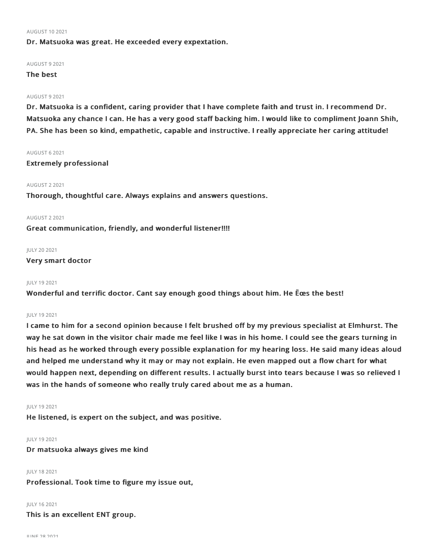#### AUGUST 102021

Dr. Matsuoka was great. He exceeded every expextation.

#### AUGUST 92021

# The best

### AUGUST 92021

Dr. Matsuoka is a confident, caring provider that I have complete faith and trust in. I recommend Dr. Matsuoka any chance I can. He has a very good staff backing him. I would like to compliment Joann Shih, PA. She has been so kind, empathetic, capable and instructive. I really appreciate her caring attitude!

#### AUGUST 62021

Extremely professional

## AUGUST 22021

Thorough, thoughtful care. Always explains and answers questions.

## AUGUST 22021

Great communication, friendly, and wonderful listener!!!!

#### JULY 202021

## Very smart doctor

#### JULY 192021

Wonderful and terrific doctor. Cant say enough good things about him. He Ëœs the best!

#### JULY 192021

I came to him for a second opinion because I felt brushed off by my previous specialist at Elmhurst. The way he sat down in the visitor chair made me feel like I was in his home. I could see the gears turning in his head as he worked through every possible explanation for my hearing loss. He said many ideas aloud and helped me understand why it may or may not explain. He even mapped out a flow chart for what would happen next, depending on different results. I actually burst into tears because I was so relieved I was in the hands of someone who really truly cared about me as a human.

#### JULY 192021

He listened, is expert on the subject, and was positive.

#### JULY 192021

Dr matsuoka always gives me kind

# JULY 182021

Professional. Took time to figure my issue out,

#### JULY 162021

This is an excellent ENT group.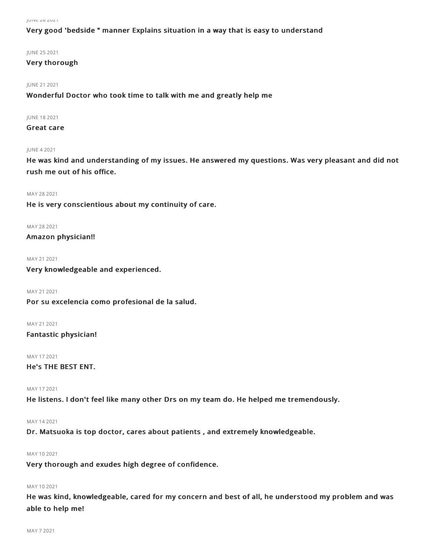# Very good 'bedside " manner Explains situation in a way that is easy to understand

JUNE 252021

# Very thorough

JUNE 212021

Wonderful Doctor who took time to talk with me and greatly help me

JUNE 182021

Great care

## JUNE 42021

He was kind and understanding of my issues. He answered my questions. Was very pleasant and did not rush me out of his office.

MAY 28 2021 He is very conscientious about my continuity of care.

MAY 28 2021 Amazon physician!!

MAY 212021

Very knowledgeable and experienced.

MAY 21 2021 Por su excelencia como profesional de la salud.

MAY 212021 Fantastic physician!

MAY 172021 He's THE BEST ENT.

MAY 172021

He listens. I don't feel like many other Drs on my team do. He helped me tremendously.

MAY 142021

Dr. Matsuoka is top doctor, cares about patients , and extremely knowledgeable.

MAY 102021

Very thorough and exudes high degree of confidence.

# MAY 102021

He was kind, knowledgeable, cared for my concern and best of all, he understood my problem and was able to help me!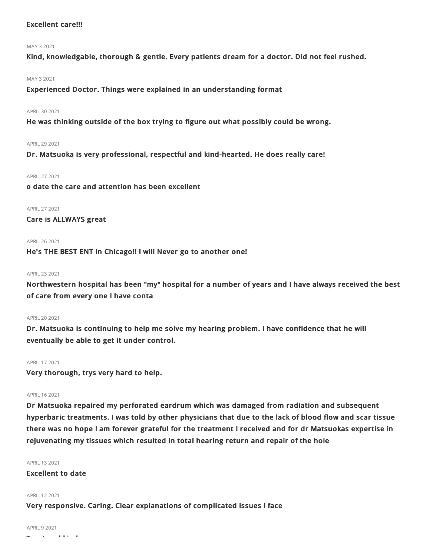# Excellent care!!!

#### MAY 32021

Kind, knowledgable, thorough & gentle. Every patients dream for a doctor. Did not feel rushed.

### MAY 32021

Experienced Doctor. Things were explained in an understanding format

## APRIL 30 2021

He was thinking outside of the box trying to figure out what possibly could be wrong.

### APRIL292021

Dr. Matsuoka is very professional, respectful and kind-hearted. He does really care!

APRIL272021

o date the care and attention has been excellent

APRIL272021 Care is ALLWAYS great

### APRIL262021

He's THE BEST ENT in Chicago!! I will Never go to another one!

### APRIL232021

Northwestern hospital has been "my" hospital for a number of years and I have always received the best of care from every one I have conta

#### APRIL202021

Dr. Matsuoka is continuing to help me solve my hearing problem. I have confidence that he will eventually be able to get it under control.

#### APRIL172021

Very thorough, trys very hard to help.

# APRIL162021

Dr Matsuoka repaired my perforated eardrum which was damaged from radiation and subsequent hyperbaric treatments. I was told by other physicians that due to the lack of blood flow and scar tissue there was no hope I am forever grateful for the treatment I received and for dr Matsuokas expertise in rejuvenating my tissues which resulted in total hearing return and repair of the hole

#### APRIL 13 2021

Excellent to date

### APRIL122021

Very responsive. Caring. Clear explanations of complicated issues I face

# **APRIL 9 2021**

Trust and kindness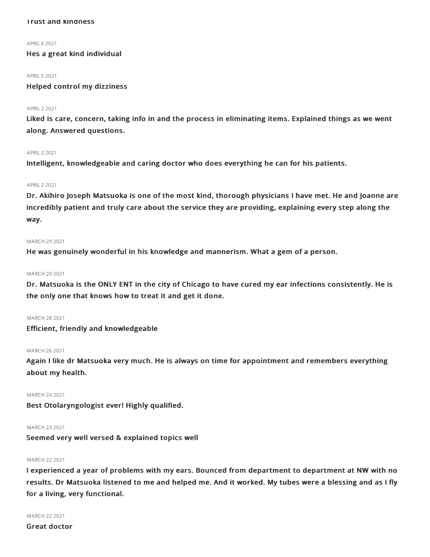### Trust and kindness

APRIL62021

# Hes a great kind individual

#### **APRIL 5 2021**

Helped control my dizziness

## APRIL22021

Liked is care, concern, taking info in and the process in eliminating items. Explained things as we went along. Answered questions.

#### APRIL22021

Intelligent, knowledgeable and caring doctor who does everything he can for his patients.

# APRIL22021

Dr. Akihiro Joseph Matsuoka is one of the most kind, thorough physicians I have met. He and Joanne are incredibly patient and truly care about the service they are providing, explaining every step along the way.

#### MARCH 29 2021

He was genuinely wonderful in his knowledge and mannerism. What a gem of a person.

#### MARCH 29 2021

Dr. Matsuoka is the ONLY ENT in the city of Chicago to have cured my ear infections consistently. He is the only one that knows how to treat it and get it done.

#### MARCH 282021

Efficient, friendly and knowledgeable

#### MARCH 262021

Again I like dr Matsuoka very much. He is always on time for appointment and remembers everything about my health.

# MARCH 242021

Best Otolaryngologist ever! Highly qualified.

# MARCH 232021

Seemed very well versed & explained topics well

# MARCH 22 2021

I experienced a year of problems with my ears. Bounced from department to department at NW with no results. Dr Matsuoka listened to me and helped me. And it worked. My tubes were a blessing and as I fly for a living, very functional.

MARCH 222021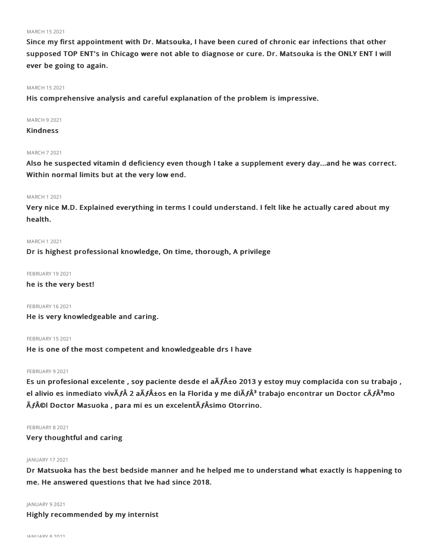#### MARCH 152021

Since my first appointment with Dr. Matsouka, I have been cured of chronic ear infections that other supposed TOP ENT's in Chicago were not able to diagnose or cure. Dr. Matsouka is the ONLY ENT I will ever be going to again.

#### MARCH 152021

His comprehensive analysis and careful explanation of the problem is impressive.

## MARCH 92021

# **Kindness**

#### MARCH 72021

Also he suspected vitamin d deficiency even though I take a supplement every day...and he was correct. Within normal limits but at the very low end.

### MARCH 12021

Very nice M.D. Explained everything in terms I could understand. I felt like he actually cared about my health.

#### MARCH 12021

Dr is highest professional knowledge, On time, thorough, A privilege

### FEBRUARY 19 2021

he is the very best!

#### FEBRUARY 162021

He is very knowledgeable and caring.

#### FEBRUARY 15 2021

He is one of the most competent and knowledgeable drs I have

## FEBRUARY 9 2021

Es un profesional excelente , soy paciente desde el aÃ**ƒ**±o 2013 y estoy muy complacida con su trabajo , el alivio es inmediato vivÃ*f* 2 aÃ*f*±os en la Florida y me diÃ*f*Â<sup>3</sup> trabajo encontrar un Doctor cÃ*f*Â<sup>3</sup>mo Ã**ƒ**©l Doctor Masuoka , para mi es un excelentÃ**ƒ**Âsimo Otorrino.

## FEBRUARY 8 2021

Very thoughtful and caring

### JANUARY 172021

Dr Matsuoka has the best bedside manner and he helped me to understand what exactly is happening to me. He answered questions that Ive had since 2018.

#### JANUARY 92021

Highly recommended by my internist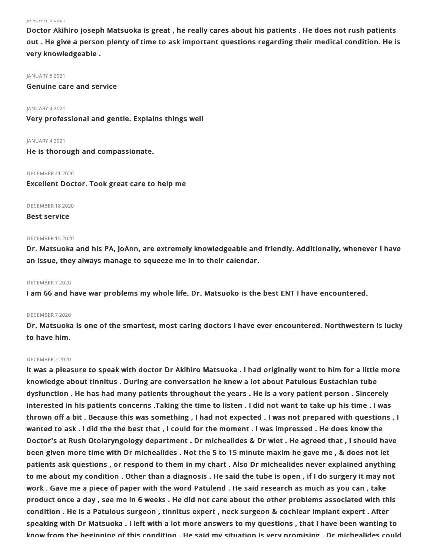JANUARY 82021

Doctor Akihiro joseph Matsuoka is great , he really cares about his patients . He does not rush patients out . He give a person plenty of time to ask important questions regarding their medical condition. He is very knowledgeable .

#### JANUARY 52021

Genuine care and service

JANUARY 42021

Very professional and gentle. Explains things well

JANUARY 42021

He is thorough and compassionate.

DECEMBER 21 2020

Excellent Doctor. Took great care to help me

DECEMBER 182020

# Best service

#### DECEMBER 152020

Dr. Matsuoka and his PA, JoAnn, are extremely knowledgeable and friendly. Additionally, whenever I have an issue, they always manage to squeeze me in to their calendar.

## DECEMBER 72020

I am 66 and have war problems my whole life. Dr. Matsuoko is the best ENT I have encountered.

#### DECEMBER 72020

Dr. Matsuoka Is one of the smartest, most caring doctors I have ever encountered. Northwestern is lucky to have him.

#### DECEMBER 22020

It was a pleasure to speak with doctor Dr Akihiro Matsuoka . I had originally went to him for a little more knowledge about tinnitus . During are conversation he knew a lot about Patulous Eustachian tube dysfunction . He has had many patients throughout the years . He is a very patient person . Sincerely interested in his patients concerns .Taking the time to listen . I did not want to take up his time . I was thrown off a bit . Because this was something , I had not expected . I was not prepared with questions , I wanted to ask . I did the the best that , I could for the moment . I was impressed . He does know the Doctor's at Rush Otolaryngology department . Dr michealides & Dr wiet . He agreed that , I should have been given more time with Dr michealides . Not the 5 to 15 minute maxim he gave me , & does not let patients ask questions , or respond to them in my chart . Also Dr michealides never explained anything to me about my condition . Other than a diagnosis . He said the tube is open , if I do surgery it may not work . Gave me a piece of paper with the word Patulend . He said research as much as you can , take product once a day , see me in 6 weeks . He did not care about the other problems associated with this condition . He is a Patulous surgeon , tinnitus expert , neck surgeon & cochlear implant expert . After speaking with Dr Matsuoka . I left with a lot more answers to my questions , that I have been wanting to know from the beginning of this condition . He said my situation is very promising . Dr michealides could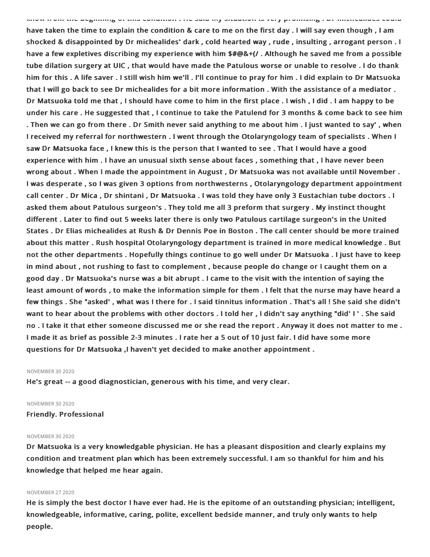have taken the time to explain the condition & care to me on the first day . I will say even though , I am shocked & disappointed by Dr michealides' dark , cold hearted way , rude , insulting , arrogant person . I have a few expletives discribing my experience with him \$#@&+(/ . Although he saved me from a possible tube dilation surgery at UIC , that would have made the Patulous worse or unable to resolve . I do thank him for this . A life saver . I still wish him we'll . I'll continue to pray for him . I did explain to Dr Matsuoka that I will go back to see Dr michealides for a bit more information . With the assistance of a mediator . Dr Matsuoka told me that , I should have come to him in the first place . I wish , I did . I am happy to be under his care . He suggested that , I continue to take the Patulend for 3 months & come back to see him . Then we can go from there . Dr Smith never said anything to me about him . I just wanted to say' , when I received my referral for northwestern . I went through the Otolaryngology team of specialists . When I saw Dr Matsuoka face , I knew this is the person that I wanted to see . That I would have a good experience with him . I have an unusual sixth sense about faces , something that , I have never been wrong about . When I made the appointment in August , Dr Matsuoka was not available until November . I was desperate , so I was given 3 options from northwesterns , Otolaryngology department appointment call center . Dr Mica , Dr shintani , Dr Matsuoka . I was told they have only 3 Eustachian tube doctors . I asked them about Patulous surgeon's . They told me all 3 preform that surgery . My instinct thought different . Later to find out 5 weeks later there is only two Patulous cartilage surgeon's in the United States . Dr Elias michealides at Rush & Dr Dennis Poe in Boston . The call center should be more trained about this matter . Rush hospital Otolaryngology department is trained in more medical knowledge . But not the other departments . Hopefully things continue to go well under Dr Matsuoka . I just have to keep in mind about , not rushing to fast to complement , because people do change or I caught them on a good day . Dr Matsuoka's nurse was a bit abrupt . I came to the visit with the intention of saying the least amount of words , to make the information simple for them . I felt that the nurse may have heard a few things . She "asked' , what was I there for . I said tinnitus information . That's all ! She said she didn't want to hear about the problems with other doctors . I told her , I didn't say anything "did' I ' . She said no . I take it that ether someone discussed me or she read the report . Anyway it does not matter to me . I made it as brief as possible 2-3 minutes . I rate her a 5 out of 10 just fair. I did have some more questions for Dr Matsuoka ,I haven't yet decided to make another appointment .

know from the beginning of this condition . He said my situation is very promising . Dr michealides could

#### NOVEMBER 302020

He's great -- a good diagnostician, generous with his time, and very clear.

#### **NOVEMBER 30 2020**

Friendly. Professional

#### **NOVEMBER 30 2020**

Dr Matsuoka is a very knowledgable physician. He has a pleasant disposition and clearly explains my condition and treatment plan which has been extremely successful. I am so thankful for him and his knowledge that helped me hear again.

## NOVEMBER 272020

He is simply the best doctor I have ever had. He is the epitome of an outstanding physician; intelligent, knowledgeable, informative, caring, polite, excellent bedside manner, and truly only wants to help people.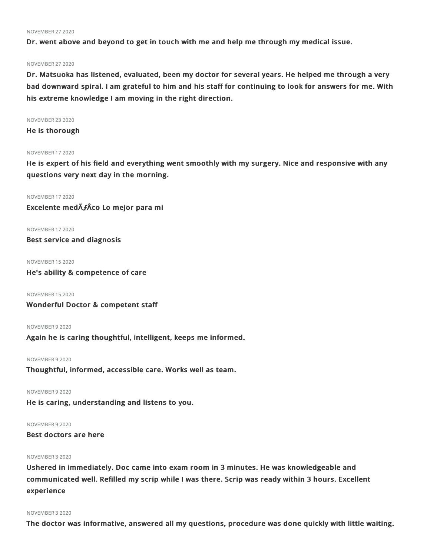#### NOVEMBER 272020

Dr. went above and beyond to get in touch with me and help me through my medical issue.

#### NOVEMBER 272020

Dr. Matsuoka has listened, evaluated, been my doctor for several years. He helped me through a very bad downward spiral. I am grateful to him and his staff for continuing to look for answers for me. With his extreme knowledge I am moving in the right direction.

#### NOVEMBER 232020

He is thorough

#### NOVEMBER 172020

He is expert of his field and everything went smoothly with my surgery. Nice and responsive with any questions very next day in the morning.

NOVEMBER 172020 Excelente medÃ**ƒ**Âco Lo mejor para mi

NOVEMBER 172020 Best service and diagnosis

NOVEMBER 152020

He's ability & competence of care

NOVEMBER 152020

Wonderful Doctor & competent staff

#### NOVEMBER 92020

Again he is caring thoughtful, intelligent, keeps me informed.

### NOVEMBER 92020

Thoughtful, informed, accessible care. Works well as team.

NOVEMBER 92020

He is caring, understanding and listens to you.

# NOVEMBER 92020

Best doctors are here

# NOVEMBER 32020

Ushered in immediately. Doc came into exam room in 3 minutes. He was knowledgeable and communicated well. Refilled my scrip while I was there. Scrip was ready within 3 hours. Excellent experience

#### NOVEMBER 32020

The doctor was informative, answered all my questions, procedure was done quickly with little waiting.